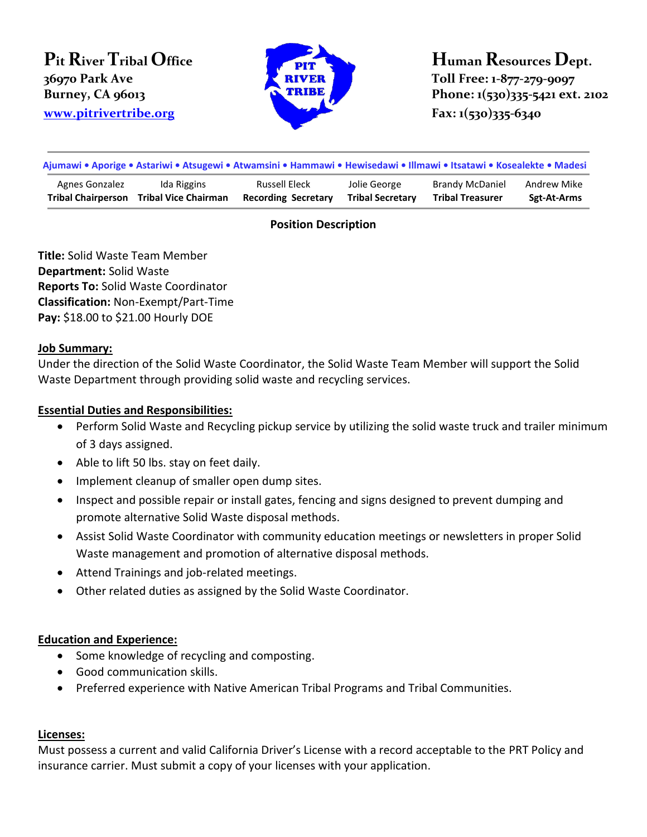# **Pit River Tribal Office 36970 Park Ave**



**Human Resources Dept. Toll Free: 1-877-279-9097 Burney, CA 96013 Phone: 1(530)335-5421 ext. 2102** 

| Ajumawi • Aporige • Astariwi • Atsugewi • Atwamsini • Hammawi • Hewisedawi • Illmawi • Itsatawi • Kosealekte • Madesi |                             |                            |                         |                         |             |
|-----------------------------------------------------------------------------------------------------------------------|-----------------------------|----------------------------|-------------------------|-------------------------|-------------|
| Agnes Gonzalez                                                                                                        | Ida Riggins                 | Russell Eleck              | Jolie George            | <b>Brandy McDaniel</b>  | Andrew Mike |
| <b>Tribal Chairperson</b>                                                                                             | <b>Tribal Vice Chairman</b> | <b>Recording Secretary</b> | <b>Tribal Secretary</b> | <b>Tribal Treasurer</b> | Sgt-At-Arms |

## **Position Description**

**Title:** Solid Waste Team Member **Department:** Solid Waste **Reports To:** Solid Waste Coordinator **Classification:** Non-Exempt/Part-Time **Pay:** \$18.00 to \$21.00 Hourly DOE

### **Job Summary:**

Under the direction of the Solid Waste Coordinator, the Solid Waste Team Member will support the Solid Waste Department through providing solid waste and recycling services.

## **Essential Duties and Responsibilities:**

- Perform Solid Waste and Recycling pickup service by utilizing the solid waste truck and trailer minimum of 3 days assigned.
- Able to lift 50 lbs. stay on feet daily.
- Implement cleanup of smaller open dump sites.
- Inspect and possible repair or install gates, fencing and signs designed to prevent dumping and promote alternative Solid Waste disposal methods.
- Assist Solid Waste Coordinator with community education meetings or newsletters in proper Solid Waste management and promotion of alternative disposal methods.
- Attend Trainings and job-related meetings.
- Other related duties as assigned by the Solid Waste Coordinator.

## **Education and Experience:**

- Some knowledge of recycling and composting.
- Good communication skills.
- Preferred experience with Native American Tribal Programs and Tribal Communities.

#### **Licenses:**

Must possess a current and valid California Driver's License with a record acceptable to the PRT Policy and insurance carrier. Must submit a copy of your licenses with your application.